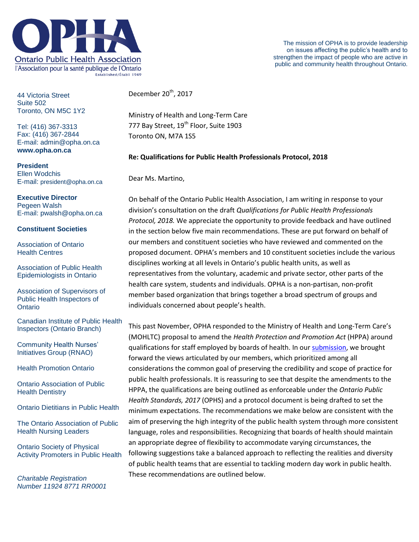

44 Victoria Street Suite 502 Toronto, ON M5C 1Y2

Tel: (416) 367-3313 Fax: (416) 367-2844 E-mail: admin@opha.on.ca **www.opha.on.ca**

**President** Ellen Wodchis E-mail: president@opha.on.ca

## **Executive Director**

Pegeen Walsh E-mail: pwalsh@opha.on.ca

### **Constituent Societies**

Association of Ontario Health Centres

Association of Public Health Epidemiologists in Ontario

Association of Supervisors of Public Health Inspectors of **Ontario** 

Canadian Institute of Public Health Inspectors (Ontario Branch)

Community Health Nurses' Initiatives Group (RNAO)

Health Promotion Ontario

Ontario Association of Public Health Dentistry

Ontario Dietitians in Public Health

The Ontario Association of Public Health Nursing Leaders

Ontario Society of Physical Activity Promoters in Public Health

*Charitable Registration Number 11924 8771 RR0001* December 20<sup>th</sup>, 2017

Ministry of Health and Long-Term Care 777 Bay Street, 19<sup>th</sup> Floor, Suite 1903 Toronto ON, M7A 1S5

### **Re: Qualifications for Public Health Professionals Protocol, 2018**

Dear Ms. Martino,

On behalf of the Ontario Public Health Association, I am writing in response to your division's consultation on the draft *Qualifications for Public Health Professionals Protocol, 2018.* We appreciate the opportunity to provide feedback and have outlined in the section below five main recommendations. These are put forward on behalf of our members and constituent societies who have reviewed and commented on the proposed document. OPHA's members and 10 constituent societies include the various disciplines working at all levels in Ontario's public health units, as well as representatives from the voluntary, academic and private sector, other parts of the health care system, students and individuals. OPHA is a non-partisan, non-profit member based organization that brings together a broad spectrum of groups and individuals concerned about people's health.

This past November, OPHA responded to the Ministry of Health and Long-Term Care's (MOHLTC) proposal to amend the *Health Protection and Promotion Act* (HPPA) around qualifications for staff employed by boards of health. In our [submission,](http://www.opha.on.ca/getmedia/7ccb5860-6f7a-40fc-92c1-a63de5a9b075/OPHA-Response-to-HPPA-regulatory-changes-Nov-8.pdf.aspx?ext=.pdf) we brought forward the views articulated by our members, which prioritized among all considerations the common goal of preserving the credibility and scope of practice for public health professionals. It is reassuring to see that despite the amendments to the HPPA, the qualifications are being outlined as enforceable under the *Ontario Public Health Standards, 2017* (OPHS) and a protocol document is being drafted to set the minimum expectations. The recommendations we make below are consistent with the aim of preserving the high integrity of the public health system through more consistent language, roles and responsibilities. Recognizing that boards of health should maintain an appropriate degree of flexibility to accommodate varying circumstances, the following suggestions take a balanced approach to reflecting the realities and diversity of public health teams that are essential to tackling modern day work in public health. These recommendations are outlined below.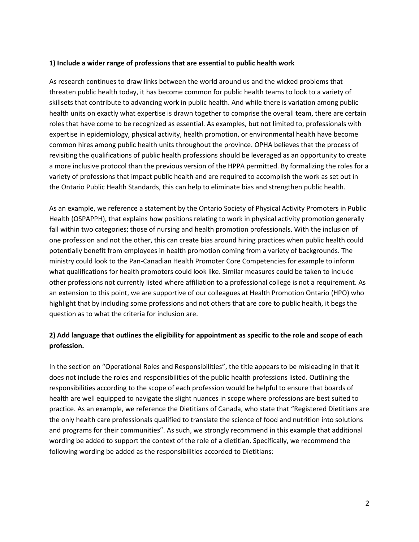#### **1) Include a wider range of professions that are essential to public health work**

As research continues to draw links between the world around us and the wicked problems that threaten public health today, it has become common for public health teams to look to a variety of skillsets that contribute to advancing work in public health. And while there is variation among public health units on exactly what expertise is drawn together to comprise the overall team, there are certain roles that have come to be recognized as essential. As examples, but not limited to, professionals with expertise in epidemiology, physical activity, health promotion, or environmental health have become common hires among public health units throughout the province. OPHA believes that the process of revisiting the qualifications of public health professions should be leveraged as an opportunity to create a more inclusive protocol than the previous version of the HPPA permitted. By formalizing the roles for a variety of professions that impact public health and are required to accomplish the work as set out in the Ontario Public Health Standards, this can help to eliminate bias and strengthen public health.

As an example, we reference a statement by the Ontario Society of Physical Activity Promoters in Public Health (OSPAPPH), that explains how positions relating to work in physical activity promotion generally fall within two categories; those of nursing and health promotion professionals. With the inclusion of one profession and not the other, this can create bias around hiring practices when public health could potentially benefit from employees in health promotion coming from a variety of backgrounds. The ministry could look to the Pan-Canadian Health Promoter Core Competencies for example to inform what qualifications for health promoters could look like. Similar measures could be taken to include other professions not currently listed where affiliation to a professional college is not a requirement. As an extension to this point, we are supportive of our colleagues at Health Promotion Ontario (HPO) who highlight that by including some professions and not others that are core to public health, it begs the question as to what the criteria for inclusion are.

# **2) Add language that outlines the eligibility for appointment as specific to the role and scope of each profession.**

In the section on "Operational Roles and Responsibilities", the title appears to be misleading in that it does not include the roles and responsibilities of the public health professions listed. Outlining the responsibilities according to the scope of each profession would be helpful to ensure that boards of health are well equipped to navigate the slight nuances in scope where professions are best suited to practice. As an example, we reference the Dietitians of Canada, who state that "Registered Dietitians are the only health care professionals qualified to translate the science of food and nutrition into solutions and programs for their communities". As such, we strongly recommend in this example that additional wording be added to support the context of the role of a dietitian. Specifically, we recommend the following wording be added as the responsibilities accorded to Dietitians: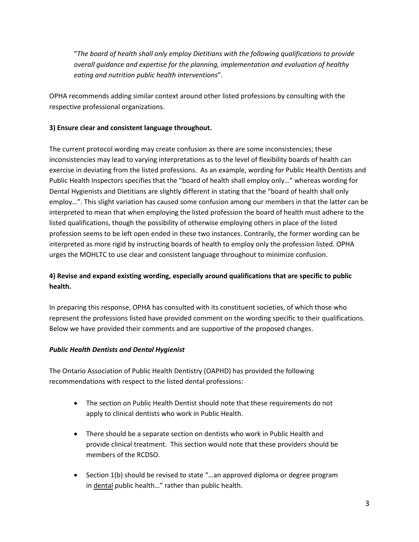"*The board of health shall only employ Dietitians with the following qualifications to provide overall guidance and expertise for the planning, implementation and evaluation of healthy eating and nutrition public health interventions*".

OPHA recommends adding similar context around other listed professions by consulting with the respective professional organizations.

## **3) Ensure clear and consistent language throughout.**

The current protocol wording may create confusion as there are some inconsistencies; these inconsistencies may lead to varying interpretations as to the level of flexibility boards of health can exercise in deviating from the listed professions. As an example, wording for Public Health Dentists and Public Health Inspectors specifies that the "board of health shall employ only…" whereas wording for Dental Hygienists and Dietitians are slightly different in stating that the "board of health shall only employ…". This slight variation has caused some confusion among our members in that the latter can be interpreted to mean that when employing the listed profession the board of health must adhere to the listed qualifications, though the possibility of otherwise employing others in place of the listed profession seems to be left open ended in these two instances. Contrarily, the former wording can be interpreted as more rigid by instructing boards of health to employ only the profession listed. OPHA urges the MOHLTC to use clear and consistent language throughout to minimize confusion.

# **4) Revise and expand existing wording, especially around qualifications that are specific to public health.**

In preparing this response, OPHA has consulted with its constituent societies, of which those who represent the professions listed have provided comment on the wording specific to their qualifications. Below we have provided their comments and are supportive of the proposed changes.

## *Public Health Dentists and Dental Hygienist*

The Ontario Association of Public Health Dentistry (OAPHD) has provided the following recommendations with respect to the listed dental professions:

- The section on Public Health Dentist should note that these requirements do not apply to clinical dentists who work in Public Health.
- There should be a separate section on dentists who work in Public Health and provide clinical treatment. This section would note that these providers should be members of the RCDSO.
- Section 1(b) should be revised to state "...an approved diploma or degree program in dental public health..." rather than public health.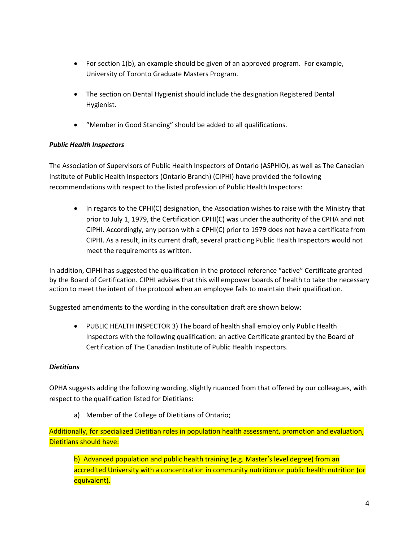- For section 1(b), an example should be given of an approved program. For example, University of Toronto Graduate Masters Program.
- The section on Dental Hygienist should include the designation Registered Dental Hygienist.
- "Member in Good Standing" should be added to all qualifications.

# *Public Health Inspectors*

The Association of Supervisors of Public Health Inspectors of Ontario (ASPHIO), as well as The Canadian Institute of Public Health Inspectors (Ontario Branch) (CIPHI) have provided the following recommendations with respect to the listed profession of Public Health Inspectors:

• In regards to the CPHI(C) designation, the Association wishes to raise with the Ministry that prior to July 1, 1979, the Certification CPHI(C) was under the authority of the CPHA and not CIPHI. Accordingly, any person with a CPHI(C) prior to 1979 does not have a certificate from CIPHI. As a result, in its current draft, several practicing Public Health Inspectors would not meet the requirements as written.

In addition, CIPHI has suggested the qualification in the protocol reference "active" Certificate granted by the Board of Certification. CIPHI advises that this will empower boards of health to take the necessary action to meet the intent of the protocol when an employee fails to maintain their qualification.

Suggested amendments to the wording in the consultation draft are shown below:

 PUBLIC HEALTH INSPECTOR 3) The board of health shall employ only Public Health Inspectors with the following qualification: an active Certificate granted by the Board of Certification of The Canadian Institute of Public Health Inspectors.

# *Dietitians*

OPHA suggests adding the following wording, slightly nuanced from that offered by our colleagues, with respect to the qualification listed for Dietitians:

a) Member of the College of Dietitians of Ontario;

Additionally, for specialized Dietitian roles in population health assessment, promotion and evaluation, Dietitians should have:

b) Advanced population and public health training (e.g. Master's level degree) from an accredited University with a concentration in community nutrition or public health nutrition (or equivalent).